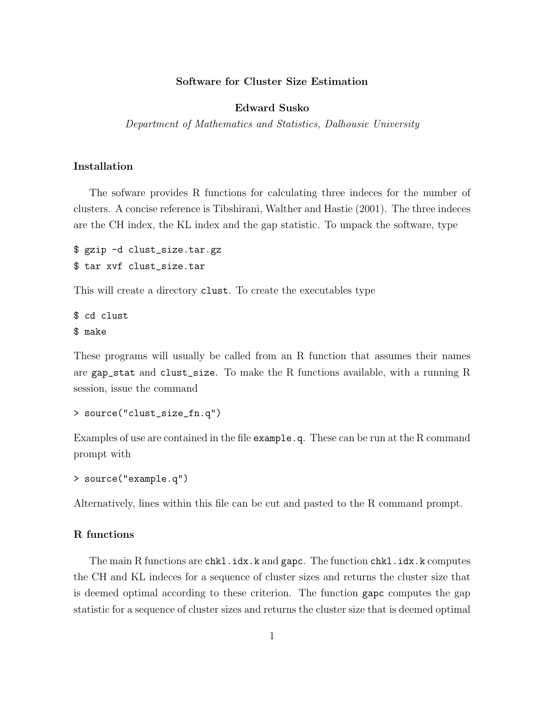# Software for Cluster Size Estimation

### Edward Susko

Department of Mathematics and Statistics, Dalhousie University

# Installation

The sofware provides R functions for calculating three indeces for the number of clusters. A concise reference is Tibshirani, Walther and Hastie (2001). The three indeces are the CH index, the KL index and the gap statistic. To unpack the software, type

```
$ gzip -d clust_size.tar.gz
$ tar xvf clust_size.tar
```
This will create a directory clust. To create the executables type

\$ cd clust \$ make

These programs will usually be called from an R function that assumes their names are gap\_stat and clust\_size. To make the R functions available, with a running R session, issue the command

```
> source("clust_size_fn.q")
```
Examples of use are contained in the file example.q. These can be run at the R command prompt with

```
> source("example.q")
```
Alternatively, lines within this file can be cut and pasted to the R command prompt.

# R functions

The main R functions are chkl.idx.k and gapc. The function chkl.idx.k computes the CH and KL indeces for a sequence of cluster sizes and returns the cluster size that is deemed optimal according to these criterion. The function gapc computes the gap statistic for a sequence of cluster sizes and returns the cluster size that is deemed optimal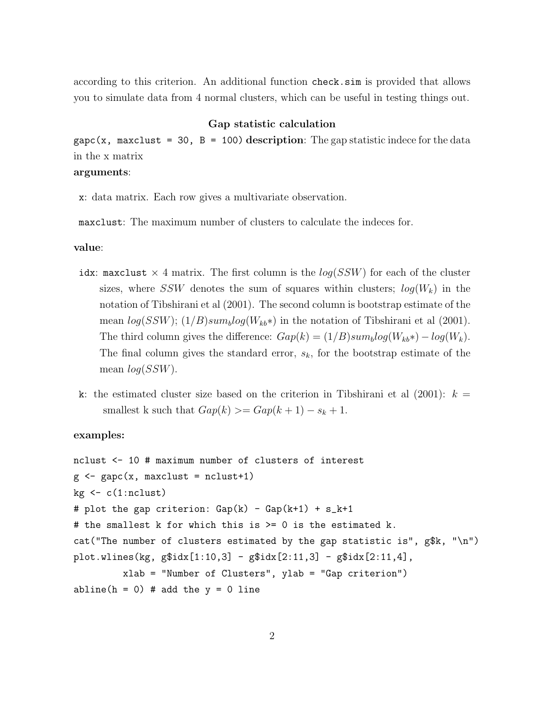according to this criterion. An additional function check.sim is provided that allows you to simulate data from 4 normal clusters, which can be useful in testing things out.

## Gap statistic calculation

gapc(x, maxclust = 30, B = 100) description: The gap statistic indece for the data in the x matrix

# arguments:

x: data matrix. Each row gives a multivariate observation.

maxclust: The maximum number of clusters to calculate the indeces for.

### value:

- idx: maxclust  $\times$  4 matrix. The first column is the  $log(SSW)$  for each of the cluster sizes, where SSW denotes the sum of squares within clusters;  $log(W_k)$  in the notation of Tibshirani et al (2001). The second column is bootstrap estimate of the mean  $log(SSW)$ ;  $(1/B)sum_blog(W_{kb}*)$  in the notation of Tibshirani et al (2001). The third column gives the difference:  $Gap(k) = (1/B)sum_blog(W_{kb}*) - log(W_k)$ . The final column gives the standard error,  $s_k$ , for the bootstrap estimate of the mean  $log(SSW)$ .
- k: the estimated cluster size based on the criterion in Tibshirani et al  $(2001)$ :  $k =$ smallest k such that  $Gap(k) \geq Gap(k+1) - s_k + 1$ .

#### examples:

```
nclust <- 10 # maximum number of clusters of interest
g \leftarrow \text{gapc}(x, \text{maxclust = nclust+1})kg \leftarrow c(1:ncluster)# plot the gap criterion: Gap(k) - Gap(k+1) + s_k+1# the smallest k for which this is >= 0 is the estimated k.
cat("The number of clusters estimated by the gap statistic is", g$k, "\n")
plot. wlines(kg, g$idx[1:10,3] - g$idx[2:11,3] - g$idx[2:11,4],
         xlab = "Number of Clusters", ylab = "Gap criterion")
abline(h = 0) # add the y = 0 line
```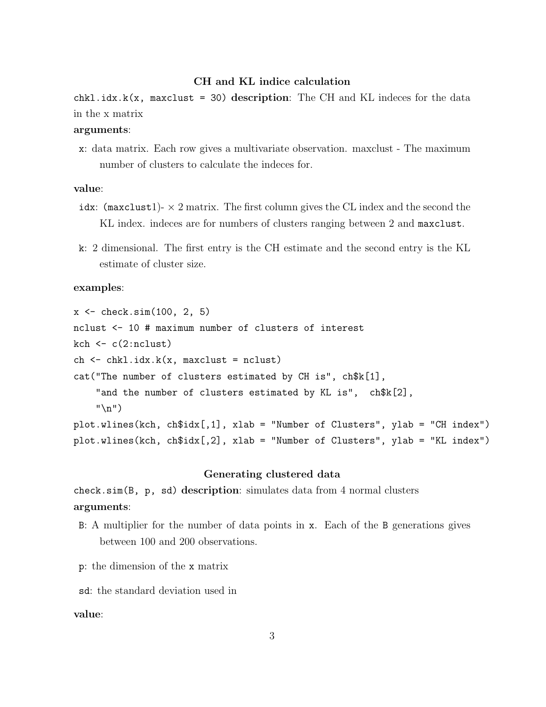### CH and KL indice calculation

 $chkl.idx.k(x, maxclust = 30) description: The CH and KL indeces for the data$ in the x matrix

# arguments:

x: data matrix. Each row gives a multivariate observation. maxclust - The maximum number of clusters to calculate the indeces for.

## value:

- idx: (maxclust1)- $\times$  2 matrix. The first column gives the CL index and the second the KL index. indeces are for numbers of clusters ranging between 2 and maxclust.
- k: 2 dimensional. The first entry is the CH estimate and the second entry is the KL estimate of cluster size.

## examples:

 $x \leftarrow \text{check}.\text{sim}(100, 2, 5)$ nclust <- 10 # maximum number of clusters of interest kch  $\leftarrow c(2:nclust)$ ch  $\leq$  chkl.idx.k(x, maxclust = nclust) cat("The number of clusters estimated by CH is", ch\$k[1], "and the number of clusters estimated by KL is", ch\$k[2],  $"$ \n") plot.wlines(kch, ch\$idx[,1], xlab = "Number of Clusters", ylab = "CH index") plot.wlines(kch, ch\$idx[,2], xlab = "Number of Clusters", ylab = "KL index")

### Generating clustered data

check.sim(B,  $p$ , sd) description: simulates data from 4 normal clusters arguments:

- B: A multiplier for the number of data points in x. Each of the B generations gives between 100 and 200 observations.
- p: the dimension of the x matrix
- sd: the standard deviation used in

## value: